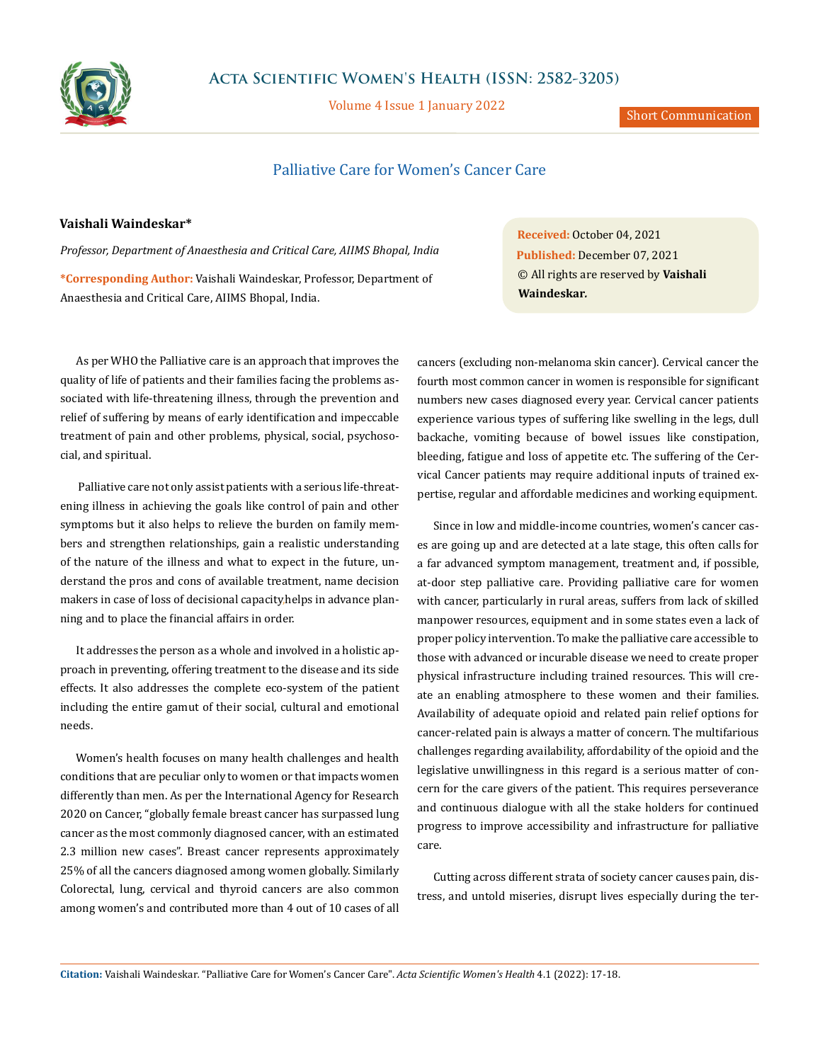

Volume 4 Issue 1 January 2022

## Palliative Care for Women's Cancer Care

## **Vaishali Waindeskar\***

*Professor, Department of Anaesthesia and Critical Care, AIIMS Bhopal, India* **\*Corresponding Author:** Vaishali Waindeskar, Professor, Department of Anaesthesia and Critical Care, AIIMS Bhopal, India.

As per WHO the Palliative care is an approach that improves the quality of life of patients and their families facing the problems associated with life-threatening illness, through the prevention and relief of suffering by means of early identification and impeccable treatment of pain and other problems, physical, social, psychosocial, and spiritual.

 Palliative care not only assist patients with a serious life-threatening illness in achieving the goals like control of pain and other symptoms but it also helps to relieve the burden on family members and strengthen relationships, gain a realistic understanding of the nature of the illness and what to expect in the future, understand the pros and cons of available treatment, name decision makers in case of loss of decisional capacity,helps in advance planning and to place the financial affairs in order.

It addresses the person as a whole and involved in a holistic approach in preventing, offering treatment to the disease and its side effects. It also addresses the complete eco-system of the patient including the entire gamut of their social, cultural and emotional needs.

Women's health focuses on many health challenges and health conditions that are peculiar only to women or that impacts women differently than men. As per the International Agency for Research 2020 on Cancer, "globally female breast cancer has surpassed lung cancer as the most commonly diagnosed cancer, with an estimated 2.3 million new cases". Breast cancer represents approximately 25% of all the cancers diagnosed among women globally. Similarly Colorectal, lung, cervical and thyroid cancers are also common among women's and contributed more than 4 out of 10 cases of all **Received:** October 04, 2021 **Published:** December 07, 2021 © All rights are reserved by **Vaishali Waindeskar***.*

cancers (excluding non-melanoma skin cancer). Cervical cancer the fourth most common cancer in women is responsible for significant numbers new cases diagnosed every year. Cervical cancer patients experience various types of suffering like swelling in the legs, dull backache, vomiting because of bowel issues like constipation, bleeding, fatigue and loss of appetite etc. The suffering of the Cervical Cancer patients may require additional inputs of trained expertise, regular and affordable medicines and working equipment.

Since in low and middle-income countries, women's cancer cases are going up and are detected at a late stage, this often calls for a far advanced symptom management, treatment and, if possible, at-door step palliative care. Providing palliative care for women with cancer, particularly in rural areas, suffers from lack of skilled manpower resources, equipment and in some states even a lack of proper policy intervention. To make the palliative care accessible to those with advanced or incurable disease we need to create proper physical infrastructure including trained resources. This will create an enabling atmosphere to these women and their families. Availability of adequate opioid and related pain relief options for cancer-related pain is always a matter of concern. The multifarious challenges regarding availability, affordability of the opioid and the legislative unwillingness in this regard is a serious matter of concern for the care givers of the patient. This requires perseverance and continuous dialogue with all the stake holders for continued progress to improve accessibility and infrastructure for palliative care.

Cutting across different strata of society cancer causes pain, distress, and untold miseries, disrupt lives especially during the ter